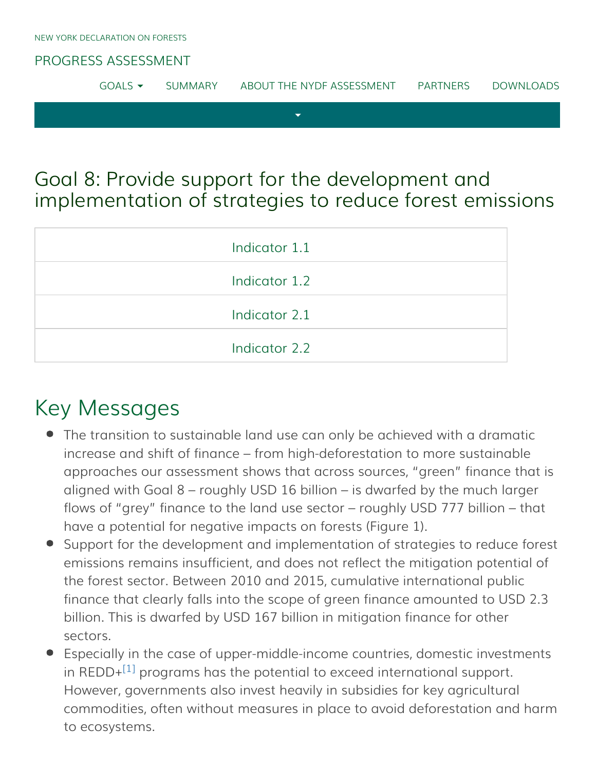### [PROGRESS ASSESSMENT](http://www.forestdeclaration.org/)

| GOMS | SUMMARY | ABOUT THE NYDE ASSESSMENT | PARTNERS | DOWNLOADS |
|------|---------|---------------------------|----------|-----------|
|      |         |                           |          |           |

## Goal 8: Provide support for the development and implementation of strategies to reduce forest emissions

| Indicator 1.1 |
|---------------|
| Indicator 1.2 |
| Indicator 2.1 |
| Indicator 2.2 |

# Key Messages

- The transition to sustainable land use can only be achieved with a dramatic increase and shift of finance – from high-deforestation to more sustainable approaches our assessment shows that across sources, "green" finance that is aligned with Goal 8 – roughly USD 16 billion – is dwarfed by the much larger flows of "grey" finance to the land use sector – roughly USD 777 billion – that have a potential for negative impacts on forests (Figure 1).
- Support for the development and implementation of strategies to reduce forest emissions remains insufficient, and does not reflect the mitigation potential of the forest sector. Between 2010 and 2015, cumulative international public finance that clearly falls into the scope of green finance amounted to USD 2.3 billion. This is dwarfed by USD 167 billion in mitigation finance for other sectors.
- <span id="page-0-0"></span>Especially in the case of upper-middle-income countries, domestic investments in REDD+ $^{[1]}$  $^{[1]}$  $^{[1]}$  programs has the potential to exceed international support. However, governments also invest heavily in subsidies for key agricultural commodities, often without measures in place to avoid deforestation and harm to ecosystems.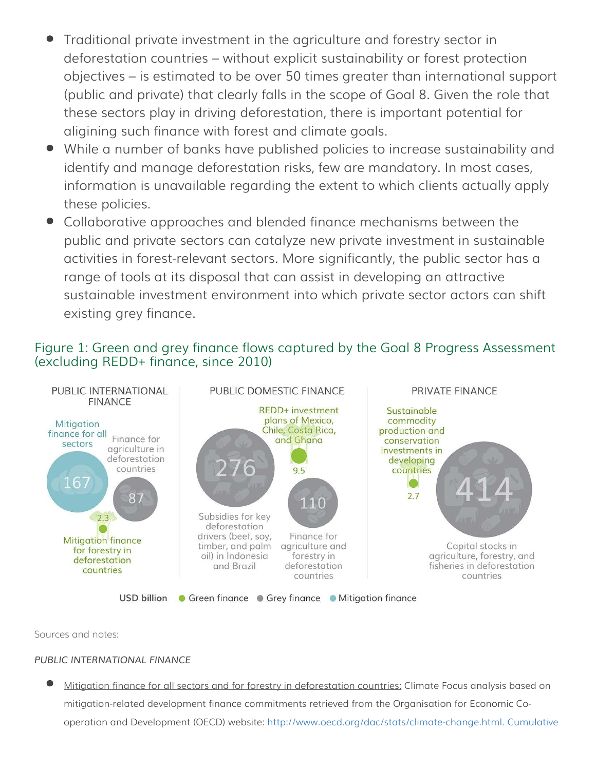- Traditional private investment in the agriculture and forestry sector in deforestation countries – without explicit sustainability or forest protection objectives – is estimated to be over 50 times greater than international support (public and private) that clearly falls in the scope of Goal 8. Given the role that these sectors play in driving deforestation, there is important potential for aligining such finance with forest and climate goals.
- While a number of banks have published policies to increase sustainability and identify and manage deforestation risks, few are mandatory. In most cases, information is unavailable regarding the extent to which clients actually apply these policies.
- Collaborative approaches and blended finance mechanisms between the public and private sectors can catalyze new private investment in sustainable activities in forest-relevant sectors. More significantly, the public sector has a range of tools at its disposal that can assist in developing an attractive sustainable investment environment into which private sector actors can shift existing grey finance.

### Figure 1: Green and grey finance flows captured by the Goal 8 Progress Assessment (excluding REDD+ finance, since 2010)



Sources and notes:

### *PUBLIC INTERNATIONAL FINANCE*

Mitigation finance for all sectors and for forestry in deforestation countries: Climate Focus analysis based on mitigation-related development finance commitments retrieved from the Organisation for Economic Cooperation and Development (OECD) website: [http://www.oecd.org/dac/stats/climate-change.html. Cumulative](http://www.oecd.org/dac/stats/climate-change.html. Cumulative 2010-2015)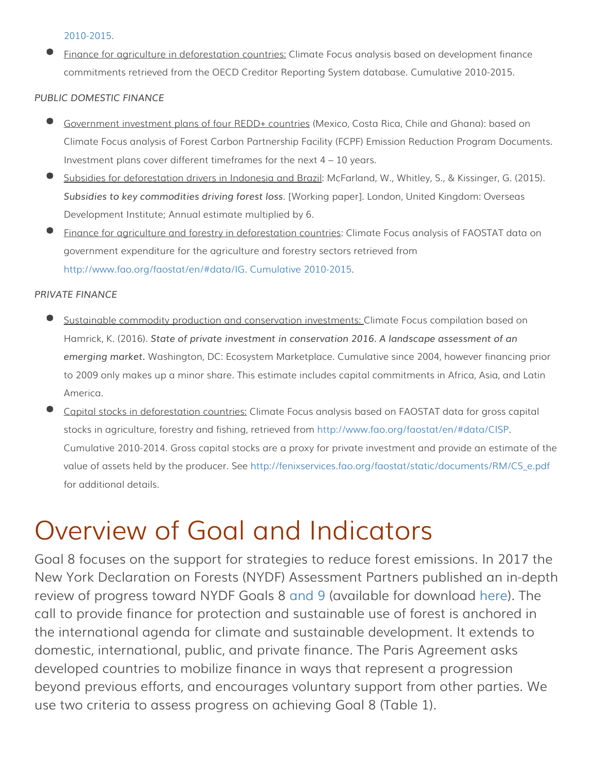[2010-2015.](http://www.oecd.org/dac/stats/climate-change.html. Cumulative 2010-2015)

Finance for agriculture in deforestation countries: Climate Focus analysis based on development finance commitments retrieved from the OECD Creditor Reporting System database. Cumulative 2010-2015.

### *PUBLIC DOMESTIC FINANCE*

- Government investment plans of four REDD+ countries (Mexico, Costa Rica, Chile and Ghana): based on Climate Focus analysis of Forest Carbon Partnership Facility (FCPF) Emission Reduction Program Documents. Investment plans cover different timeframes for the next  $4 - 10$  years.
- Subsidies for deforestation drivers in Indonesia and Brazil: McFarland, W., Whitley, S., & Kissinger, G. (2015). *Subsidies to key commodities driving forest loss*. [Working paper]. London, United Kingdom: Overseas Development Institute; Annual estimate multiplied by 6.
- Finance for agriculture and forestry in deforestation countries: Climate Focus analysis of FAOSTAT data on government expenditure for the agriculture and forestry sectors retrieved from [http://www.fao.org/faostat/en/#data/IG. Cumulative 2010-2015.](http://www.fao.org/faostat/en/#data/IG. Cumulative 2010-2015)

### *PRIVATE FINANCE*

- Sustainable commodity production and conservation investments: Climate Focus compilation based on Hamrick, K. (2016). *State of private investment in conservation 2016. A landscape assessment of an emerging market.* Washington, DC: Ecosystem Marketplace. Cumulative since 2004, however financing prior to 2009 only makes up a minor share. This estimate includes capital commitments in Africa, Asia, and Latin America.
- Capital stocks in deforestation countries: Climate Focus analysis based on FAOSTAT data for gross capital stocks in agriculture, forestry and fishing, retrieved from [http://www.fao.org/faostat/en/#data/CISP.](http://www.fao.org/faostat/en/#data/CISP) Cumulative 2010-2014. Gross capital stocks are a proxy for private investment and provide an estimate of the value of assets held by the producer. See [http://fenixservices.fao.org/faostat/static/documents/RM/CS\\_e.pdf](http://fenixservices.fao.org/faostat/static/documents/RM/CS_e.pdf) for additional details.

# Overview of Goal and Indicators

Goal 8 focuses on the support for strategies to reduce forest emissions. In 2017 the New York Declaration on Forests (NYDF) Assessment Partners published an in-depth review of progress toward NYDF Goals 8 [and 9](http://forestdeclaration.org/goal/goal-9/) (available for download [here\)](http://forestdeclaration.org/downloads/). The call to provide finance for protection and sustainable use of forest is anchored in the international agenda for climate and sustainable development. It extends to domestic, international, public, and private finance. The Paris Agreement asks developed countries to mobilize finance in ways that represent a progression beyond previous efforts, and encourages voluntary support from other parties. We use two criteria to assess progress on achieving Goal 8 (Table 1).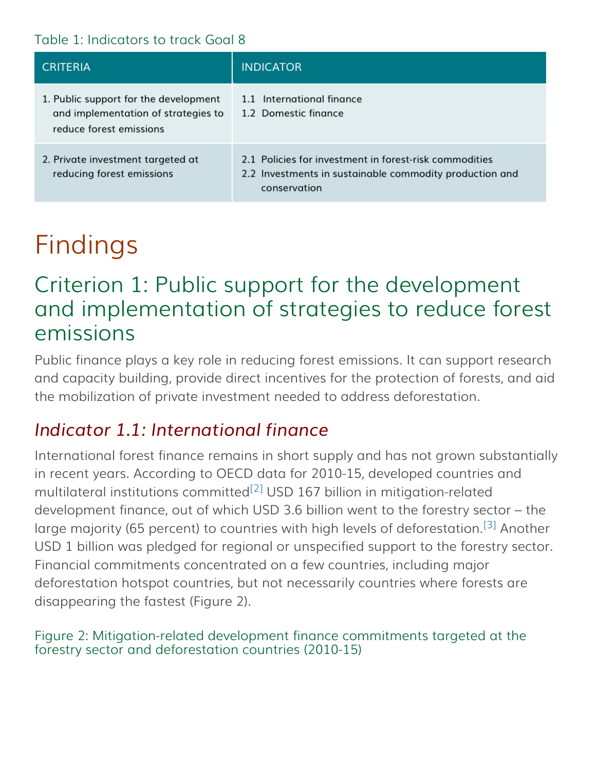### Table 1: Indicators to track Goal 8

| <b>CRITERIA</b>                                                                                         | <b>INDICATOR</b>                                                                                                                  |
|---------------------------------------------------------------------------------------------------------|-----------------------------------------------------------------------------------------------------------------------------------|
| 1. Public support for the development<br>and implementation of strategies to<br>reduce forest emissions | 1.1 International finance<br>1.2 Domestic finance                                                                                 |
| 2. Private investment targeted at<br>reducing forest emissions                                          | 2.1 Policies for investment in forest-risk commodities<br>2.2 Investments in sustainable commodity production and<br>conservation |

# Findings

# Criterion 1: Public support for the development and implementation of strategies to reduce forest emissions

Public finance plays a key role in reducing forest emissions. It can support research and capacity building, provide direct incentives for the protection of forests, and aid the mobilization of private investment needed to address deforestation.

### <span id="page-3-0"></span>*Indicator 1.1: International finance*

<span id="page-3-2"></span><span id="page-3-1"></span>International forest finance remains in short supply and has not grown substantially in recent years. According to OECD data for 2010-15, developed countries and multilateral institutions committed<sup>[\[2\]](#page-9-1)</sup> USD 167 billion in mitigation-related development finance, out of which USD 3.6 billion went to the forestry sector – the large majority (65 percent) to countries with high levels of deforestation.<sup>[\[3\]](#page-9-2)</sup> Another USD 1 billion was pledged for regional or unspecified support to the forestry sector. Financial commitments concentrated on a few countries, including major deforestation hotspot countries, but not necessarily countries where forests are disappearing the fastest (Figure 2).

### Figure 2: Mitigation-related development finance commitments targeted at the forestry sector and deforestation countries (2010-15)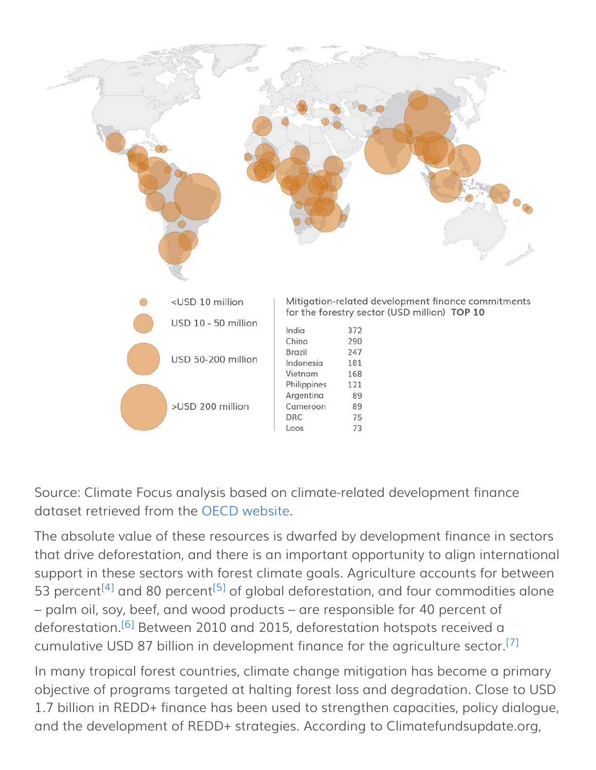

Source: Climate Focus analysis based on climate-related development finance dataset retrieved from the [OECD website](http://www.oecd.org/).

<span id="page-4-0"></span>The absolute value of these resources is dwarfed by development finance in sectors that drive deforestation, and there is an important opportunity to align international support in these sectors with forest climate goals. Agriculture accounts for between 53 percent<sup>[\[4\]](#page-9-3)</sup> and 80 percent<sup>[\[5\]](#page-9-4)</sup> of global deforestation, and four commodities alone – palm oil, soy, beef, and wood products – are responsible for 40 percent of deforestation.<sup>[\[6\]](#page-9-5)</sup> Between 2010 and 2015, deforestation hotspots received a cumulative USD 87 billion in development finance for the agriculture sector.<sup>[\[7\]](#page-9-6)</sup>

<span id="page-4-2"></span><span id="page-4-1"></span>In many tropical forest countries, climate change mitigation has become a primary objective of programs targeted at halting forest loss and degradation. Close to USD 1.7 billion in REDD+ finance has been used to strengthen capacities, policy dialogue, and the development of REDD+ strategies. According to Climatefundsupdate.org,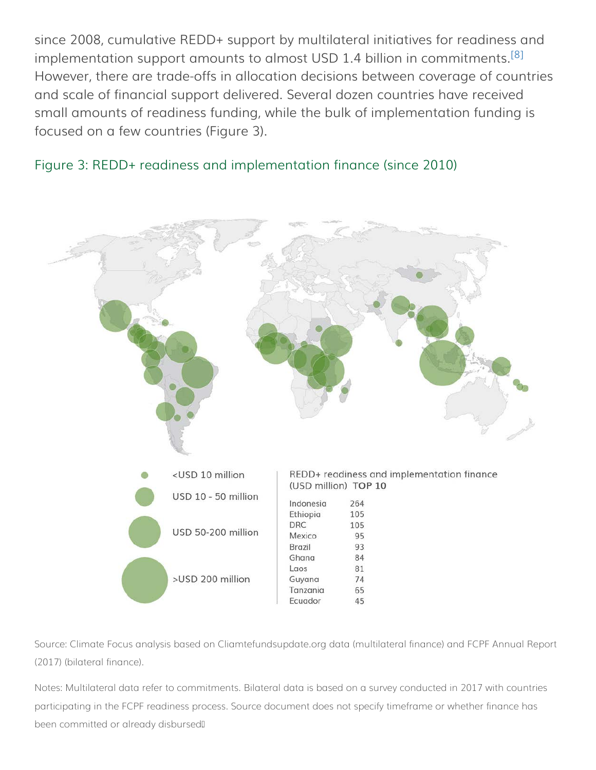<span id="page-5-0"></span>since 2008, cumulative REDD+ support by multilateral initiatives for readiness and implementation support amounts to almost USD 1.4 billion in commitments.<sup>[\[8\]](#page-9-7)</sup> However, there are trade-offs in allocation decisions between coverage of countries and scale of financial support delivered. Several dozen countries have received small amounts of readiness funding, while the bulk of implementation funding is focused on a few countries (Figure 3).





Source: Climate Focus analysis based on Cliamtefundsupdate.org data (multilateral finance) and FCPF Annual Report (2017) (bilateral finance).

Notes: Multilateral data refer to commitments. Bilateral data is based on a survey conducted in 2017 with countries participating in the FCPF readiness process. Source document does not specify timeframe or whether finance has been committed or already disbursed.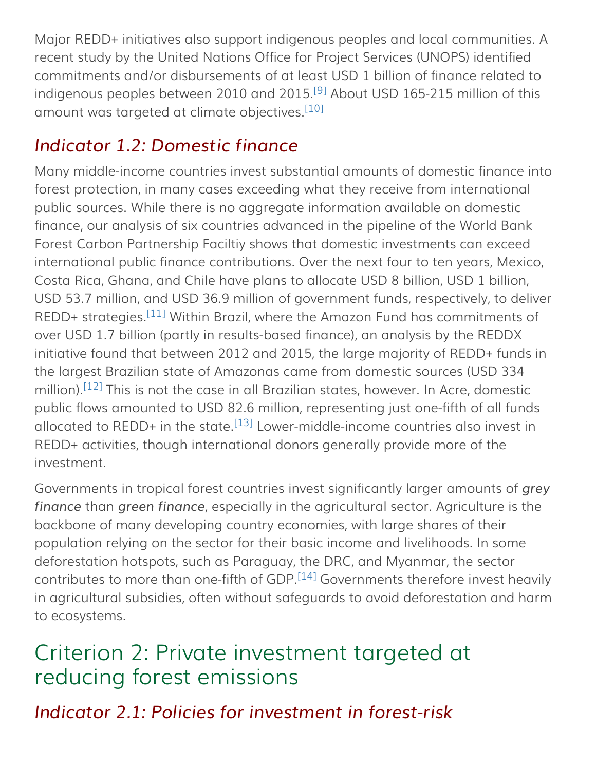<span id="page-6-1"></span>Major REDD+ initiatives also support indigenous peoples and local communities. A recent study by the United Nations Office for Project Services (UNOPS) identified commitments and/or disbursements of at least USD 1 billion of finance related to indigenous peoples between 2010 and 2015.<sup>[\[9\]](#page-9-8)</sup> About USD 165-215 million of this amount was targeted at climate objectives.<sup>[\[10\]](#page-9-9)</sup>

# <span id="page-6-2"></span><span id="page-6-0"></span>*Indicator 1.2: Domestic finance*

<span id="page-6-3"></span>Many middle-income countries invest substantial amounts of domestic finance into forest protection, in many cases exceeding what they receive from international public sources. While there is no aggregate information available on domestic finance, our analysis of six countries advanced in the pipeline of the World Bank Forest Carbon Partnership Faciltiy shows that domestic investments can exceed international public finance contributions. Over the next four to ten years, Mexico, Costa Rica, Ghana, and Chile have plans to allocate USD 8 billion, USD 1 billion, USD 53.7 million, and USD 36.9 million of government funds, respectively, to deliver REDD+ strategies.<sup>[\[11\]](#page-9-10)</sup> Within Brazil, where the Amazon Fund has commitments of over USD 1.7 billion (partly in results-based finance), an analysis by the REDDX initiative found that between 2012 and 2015, the large majority of REDD+ funds in the largest Brazilian state of Amazonas came from domestic sources (USD 334 million).<sup>[\[12\]](#page-9-11)</sup> This is not the case in all Brazilian states, however. In Acre, domestic public flows amounted to USD 82.6 million, representing just one-fifth of all funds allocated to REDD+ in the state.<sup>[\[13\]](#page-9-12)</sup> Lower-middle-income countries also invest in REDD+ activities, though international donors generally provide more of the investment.

<span id="page-6-5"></span><span id="page-6-4"></span>Governments in tropical forest countries invest significantly larger amounts of *grey finance* than *green finance*, especially in the agricultural sector. Agriculture is the backbone of many developing country economies, with large shares of their population relying on the sector for their basic income and livelihoods. In some deforestation hotspots, such as Paraguay, the DRC, and Myanmar, the sector contributes to more than one-fifth of GDP.<sup>[\[14\]](#page-9-13)</sup> Governments therefore invest heavily in agricultural subsidies, often without safeguards to avoid deforestation and harm to ecosystems.

# <span id="page-6-6"></span>Criterion 2: Private investment targeted at reducing forest emissions

*Indicator 2.1: Policies for investment in forest-risk*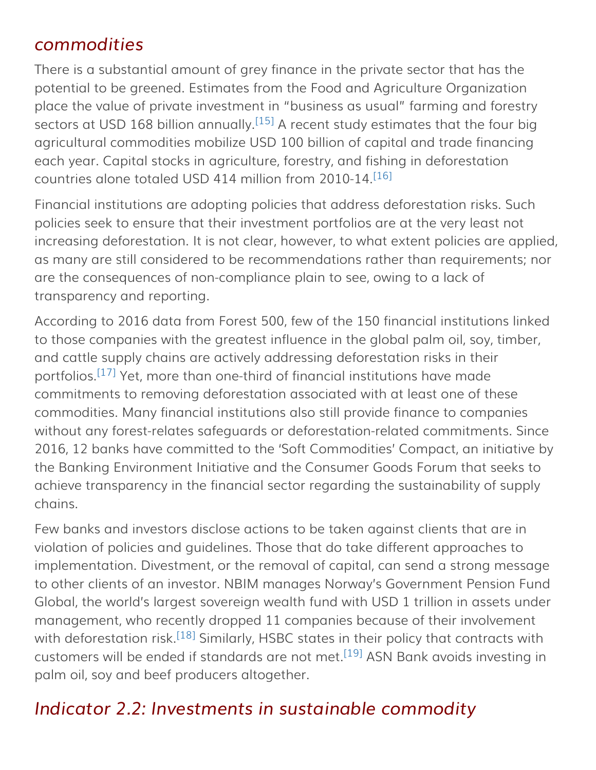### <span id="page-7-0"></span>*commodities*

<span id="page-7-1"></span>There is a substantial amount of grey finance in the private sector that has the potential to be greened. Estimates from the Food and Agriculture Organization place the value of private investment in "business as usual" farming and forestry sectors at USD 168 billion annually.  $[15]$  A recent study estimates that the four big agricultural commodities mobilize USD 100 billion of capital and trade financing each year. Capital stocks in agriculture, forestry, and fishing in deforestation countries alone totaled USD 414 million from 2010-14. [\[16\]](#page-9-15)

<span id="page-7-2"></span>Financial institutions are adopting policies that address deforestation risks. Such policies seek to ensure that their investment portfolios are at the very least not increasing deforestation. It is not clear, however, to what extent policies are applied, as many are still considered to be recommendations rather than requirements; nor are the consequences of non-compliance plain to see, owing to a lack of transparency and reporting.

<span id="page-7-3"></span>According to 2016 data from Forest 500, few of the 150 financial institutions linked to those companies with the greatest influence in the global palm oil, soy, timber, and cattle supply chains are actively addressing deforestation risks in their portfolios.<sup>[\[17\]](#page-9-16)</sup> Yet, more than one-third of financial institutions have made commitments to removing deforestation associated with at least one of these commodities. Many financial institutions also still provide finance to companies without any forest-relates safeguards or deforestation-related commitments. Since 2016, 12 banks have committed to the 'Soft Commodities' Compact, an initiative by the Banking Environment Initiative and the Consumer Goods Forum that seeks to achieve transparency in the financial sector regarding the sustainability of supply chains.

Few banks and investors disclose actions to be taken against clients that are in violation of policies and guidelines. Those that do take different approaches to implementation. Divestment, or the removal of capital, can send a strong message to other clients of an investor. NBIM manages Norway's Government Pension Fund Global, the world's largest sovereign wealth fund with USD 1 trillion in assets under management, who recently dropped 11 companies because of their involvement with deforestation risk.<sup>[\[18\]](#page-10-0)</sup> Similarly, HSBC states in their policy that contracts with customers will be ended if standards are not met.<sup>[\[19\]](#page-10-1)</sup> ASN Bank avoids investing in palm oil, soy and beef producers altogether.

## <span id="page-7-5"></span><span id="page-7-4"></span>*Indicator 2.2: Investments in sustainable commodity*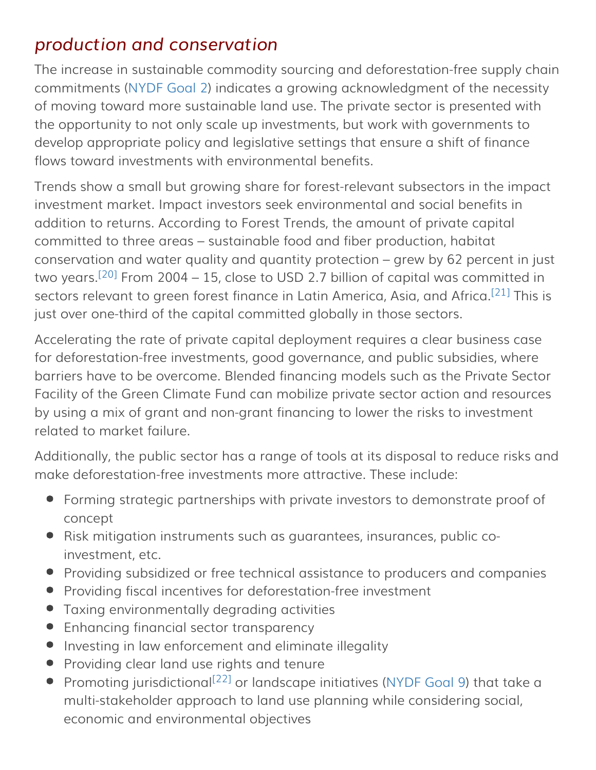### <span id="page-8-0"></span>*production and conservation*

The increase in sustainable commodity sourcing and deforestation-free supply chain commitments ([NYDF Goal 2\)](http://forestdeclaration.org/goal/goal-2/) indicates a growing acknowledgment of the necessity of moving toward more sustainable land use. The private sector is presented with the opportunity to not only scale up investments, but work with governments to develop appropriate policy and legislative settings that ensure a shift of finance flows toward investments with environmental benefits.

Trends show a small but growing share for forest-relevant subsectors in the impact investment market. Impact investors seek environmental and social benefits in addition to returns. According to Forest Trends, the amount of private capital committed to three areas – sustainable food and fiber production, habitat conservation and water quality and quantity protection – grew by 62 percent in just two years.<sup>[\[20\]](#page-10-2)</sup> From 2004 – 15, close to USD 2.7 billion of capital was committed in sectors relevant to green forest finance in Latin America, Asia, and Africa.<sup>[\[21\]](#page-10-3)</sup> This is just over one-third of the capital committed globally in those sectors.

<span id="page-8-2"></span><span id="page-8-1"></span>Accelerating the rate of private capital deployment requires a clear business case for deforestation-free investments, good governance, and public subsidies, where barriers have to be overcome. Blended financing models such as the Private Sector Facility of the Green Climate Fund can mobilize private sector action and resources by using a mix of grant and non-grant financing to lower the risks to investment related to market failure.

Additionally, the public sector has a range of tools at its disposal to reduce risks and make deforestation-free investments more attractive. These include:

- Forming strategic partnerships with private investors to demonstrate proof of concept
- Risk mitigation instruments such as guarantees, insurances, public coinvestment, etc.
- Providing subsidized or free technical assistance to producers and companies
- Providing fiscal incentives for deforestation-free investment
- Taxing environmentally degrading activities
- Enhancing financial sector transparency
- **•** Investing in law enforcement and eliminate illegality
- **•** Providing clear land use rights and tenure
- <span id="page-8-3"></span>Promoting jurisdictional<sup>[22]</sup> or landscape initiatives [\(NYDF Goal 9](http://forestdeclaration.org/goal/goal-9/)) that take a multi-stakeholder approach to land use planning while considering social, economic and environmental objectives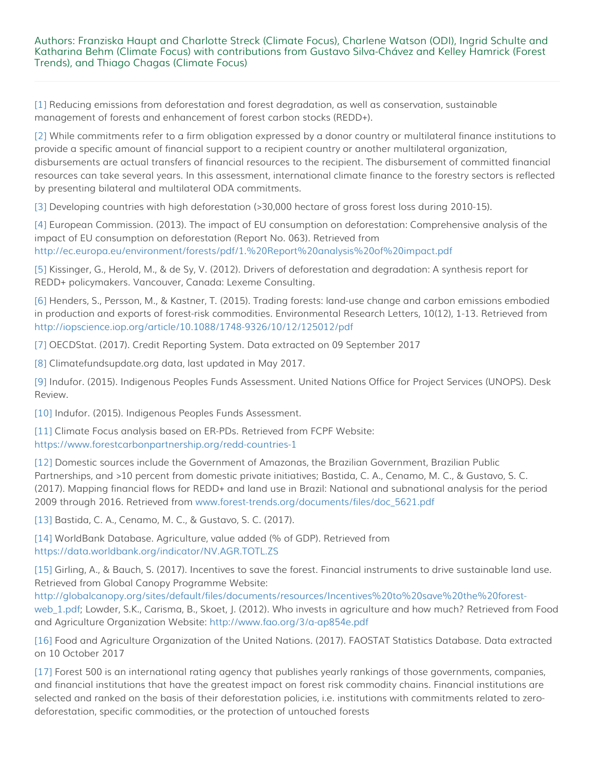#### Authors: Franziska Haupt and Charlotte Streck (Climate Focus), Charlene Watson (ODI), Ingrid Schulte and Katharina Behm (Climate Focus) with contributions from Gustavo Silva-Chávez and Kelley Hamrick (Forest Trends), and Thiago Chagas (Climate Focus)

<span id="page-9-0"></span>[\[1\]](#page-0-0) Reducing emissions from deforestation and forest degradation, as well as conservation, sustainable management of forests and enhancement of forest carbon stocks (REDD+).

<span id="page-9-1"></span>[\[2\]](#page-3-1) While commitments refer to a firm obligation expressed by a donor country or multilateral finance institutions to provide a specific amount of financial support to a recipient country or another multilateral organization, disbursements are actual transfers of financial resources to the recipient. The disbursement of committed financial resources can take several years. In this assessment, international climate finance to the forestry sectors is reflected by presenting bilateral and multilateral ODA commitments.

<span id="page-9-2"></span>[\[3\]](#page-3-2) Developing countries with high deforestation (>30,000 hectare of gross forest loss during 2010-15).

<span id="page-9-3"></span>[\[4\]](#page-4-0) European Commission. (2013). The impact of EU consumption on deforestation: Comprehensive analysis of the impact of EU consumption on deforestation (Report No. 063). Retrieved from <http://ec.europa.eu/environment/forests/pdf/1.%20Report%20analysis%20of%20impact.pdf>

<span id="page-9-4"></span>[\[5\]](#page-4-0) Kissinger, G., Herold, M., & de Sy, V. (2012). Drivers of deforestation and degradation: A synthesis report for REDD+ policymakers. Vancouver, Canada: Lexeme Consulting.

<span id="page-9-5"></span>[\[6\]](#page-4-1) Henders, S., Persson, M., & Kastner, T. (2015). Trading forests: land-use change and carbon emissions embodied in production and exports of forest-risk commodities. Environmental Research Letters, 10(12), 1-13. Retrieved from <http://iopscience.iop.org/article/10.1088/1748-9326/10/12/125012/pdf>

<span id="page-9-6"></span>[\[7\]](#page-4-2) OECDStat. (2017). Credit Reporting System. Data extracted on 09 September 2017

<span id="page-9-7"></span>[\[8\]](#page-5-0) Climatefundsupdate.org data, last updated in May 2017.

<span id="page-9-8"></span>[\[9\]](#page-6-1) Indufor. (2015). Indigenous Peoples Funds Assessment. United Nations Office for Project Services (UNOPS). Desk Review.

<span id="page-9-9"></span>[\[10\]](#page-6-2) Indufor. (2015). Indigenous Peoples Funds Assessment.

<span id="page-9-10"></span>[\[11\]](#page-6-3) Climate Focus analysis based on ER-PDs. Retrieved from FCPF Website: <https://www.forestcarbonpartnership.org/redd-countries-1>

<span id="page-9-11"></span>[\[12\]](#page-6-4) Domestic sources include the Government of Amazonas, the Brazilian Government, Brazilian Public Partnerships, and >10 percent from domestic private initiatives; Bastida, C. A., Cenamo, M. C., & Gustavo, S. C. (2017). Mapping financial flows for REDD+ and land use in Brazil: National and subnational analysis for the period 2009 through 2016. Retrieved from [www.forest-trends.org/documents/files/doc\\_5621.pdf](http://www.forest-trends.org/documents/files/doc_5621.pdf)

<span id="page-9-12"></span>[\[13\]](#page-6-5) Bastida, C. A., Cenamo, M. C., & Gustavo, S. C. (2017).

<span id="page-9-13"></span>[\[14\]](#page-6-6) WorldBank Database. Agriculture, value added (% of GDP). Retrieved from <https://data.worldbank.org/indicator/NV.AGR.TOTL.ZS>

<span id="page-9-14"></span>[\[15\]](#page-7-1) Girling, A., & Bauch, S. (2017). Incentives to save the forest. Financial instruments to drive sustainable land use. Retrieved from Global Canopy Programme Website:

[http://globalcanopy.org/sites/default/files/documents/resources/Incentives%20to%20save%20the%20forest](http://globalcanopy.org/sites/default/files/documents/resources/Incentives%20to%20save%20the%20forest-web_1.pdf)[web\\_1.pdf;](http://globalcanopy.org/sites/default/files/documents/resources/Incentives%20to%20save%20the%20forest-web_1.pdf) Lowder, S.K., Carisma, B., Skoet, J. (2012). Who invests in agriculture and how much? Retrieved from Food and Agriculture Organization Website:<http://www.fao.org/3/a-ap854e.pdf>

<span id="page-9-15"></span>[\[16\]](#page-7-2) Food and Agriculture Organization of the United Nations. (2017). FAOSTAT Statistics Database. Data extracted on 10 October 2017

<span id="page-9-16"></span>[\[17\]](#page-7-3) Forest 500 is an international rating agency that publishes yearly rankings of those governments, companies, and financial institutions that have the greatest impact on forest risk commodity chains. Financial institutions are selected and ranked on the basis of their deforestation policies, i.e. institutions with commitments related to zerodeforestation, specific commodities, or the protection of untouched forests